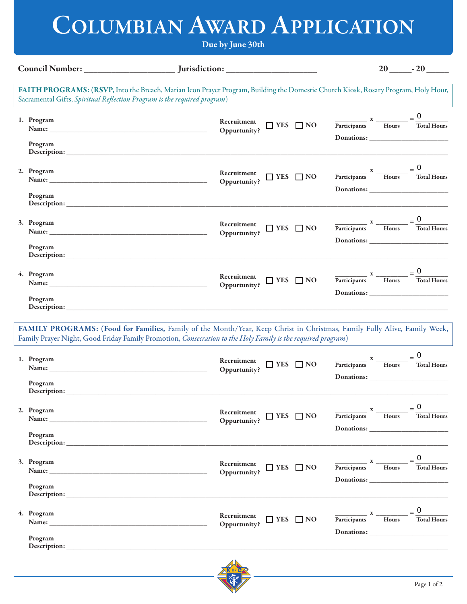## **COLUMBIAN AWARD APPLICATION**

## **Due by June 30th**

| Council Number:                                                          |                                                                                                                                                                                                                                                                                                                                                                                                                                                                                                                                                                                                                                                                                           |                                                                                                                                                                                                                                                                                                                                                                                                                                             | $20$ $-20$                                                                                               |
|--------------------------------------------------------------------------|-------------------------------------------------------------------------------------------------------------------------------------------------------------------------------------------------------------------------------------------------------------------------------------------------------------------------------------------------------------------------------------------------------------------------------------------------------------------------------------------------------------------------------------------------------------------------------------------------------------------------------------------------------------------------------------------|---------------------------------------------------------------------------------------------------------------------------------------------------------------------------------------------------------------------------------------------------------------------------------------------------------------------------------------------------------------------------------------------------------------------------------------------|----------------------------------------------------------------------------------------------------------|
| Sacramental Gifts, Spiritual Reflection Program is the required program) | FAITH PROGRAMS: (RSVP, Into the Breach, Marian Icon Prayer Program, Building the Domestic Church Kiosk, Rosary Program, Holy Hour,                                                                                                                                                                                                                                                                                                                                                                                                                                                                                                                                                        |                                                                                                                                                                                                                                                                                                                                                                                                                                             |                                                                                                          |
| 1. Program<br>Program                                                    | Recruitment<br>$\hfill\Box$<br>YES $\hfill\Box$<br>NO<br>Oppurtunity?                                                                                                                                                                                                                                                                                                                                                                                                                                                                                                                                                                                                                     |                                                                                                                                                                                                                                                                                                                                                                                                                                             | $\frac{x}{\text{Participants}} \times \frac{x}{\text{Hours}} = \frac{0}{\text{Total Hours}}$             |
| 2. Program<br>Program                                                    | Recruitment<br>$\hfill\Box$<br>YES $\hfill\Box$<br>NO<br>Oppurtunity?                                                                                                                                                                                                                                                                                                                                                                                                                                                                                                                                                                                                                     |                                                                                                                                                                                                                                                                                                                                                                                                                                             | $\frac{x}{\text{Participants}} \times \frac{x}{\text{Hours}} = \frac{0}{\text{Total Hours}}$             |
| 3. Program<br>Program                                                    | Recruitment<br>$\hfill\Box$<br>YES $\hfill\Box$<br>NO<br>Oppurtunity?                                                                                                                                                                                                                                                                                                                                                                                                                                                                                                                                                                                                                     |                                                                                                                                                                                                                                                                                                                                                                                                                                             | $\frac{x}{\text{Participants}} \times \frac{x}{\text{Hours}} = \frac{0}{\text{Total Hours}}$             |
| 4. Program<br>Program                                                    | Recruitment<br>$\hfill\Box$<br>YES $\hfill\Box$<br>NO<br>Oppurtunity?                                                                                                                                                                                                                                                                                                                                                                                                                                                                                                                                                                                                                     |                                                                                                                                                                                                                                                                                                                                                                                                                                             | $\frac{x}{\text{Participants}} \times \frac{x}{\text{Hours}} = \frac{0}{\text{Total Hours}}$             |
| 1. Program<br>Name: Name:<br>Program                                     | FAMILY PROGRAMS: (Food for Families, Family of the Month/Year, Keep Christ in Christmas, Family Fully Alive, Family Week,<br>Family Prayer Night, Good Friday Family Promotion, Consecration to the Holy Family is the required program)<br>$\begin{tabular}{ll} \hline \textbf{--}}\textbf{1} & \textbf{1} & \textbf{1} & \textbf{1} & \textbf{1} \\ \hline \textbf{0} & \textbf{1} & \textbf{1} & \textbf{1} & \textbf{1} \\ \hline \textbf{0} & \textbf{1} & \textbf{1} & \textbf{1} & \textbf{1} \\ \hline \textbf{0} & \textbf{1} & \textbf{1} & \textbf{1} & \textbf{1} \\ \hline \textbf{0} & \textbf{1} & \textbf{1} & \textbf{1} & \textbf{1} & \textbf{1} \\ \hline \textbf{0}$ |                                                                                                                                                                                                                                                                                                                                                                                                                                             | $\frac{\overline{\text{Participants}} \times \text{Hours}}{\text{Hours}} = \frac{0}{\text{Total Hours}}$ |
| 2. Program<br>Program                                                    | Recruitment<br>$\Box$ YES $\Box$ NO<br>Oppurtunity?                                                                                                                                                                                                                                                                                                                                                                                                                                                                                                                                                                                                                                       | $\frac{x}{\text{Participants}} \times \frac{1}{\text{Hours}} =$                                                                                                                                                                                                                                                                                                                                                                             | $= 0$<br><b>Total Hours</b>                                                                              |
| 3. Program<br>Program                                                    | Recruitment<br>$\Box$ YES $\Box$ NO<br>Oppurtunity?                                                                                                                                                                                                                                                                                                                                                                                                                                                                                                                                                                                                                                       | $\frac{1}{\sqrt{1-\frac{1}{2}}}\times\frac{1}{\sqrt{1-\frac{1}{2}}\sqrt{1-\frac{1}{2}}\sqrt{1-\frac{1}{2}}\sqrt{1-\frac{1}{2}}\sqrt{1-\frac{1}{2}}\sqrt{1-\frac{1}{2}}\sqrt{1-\frac{1}{2}}\sqrt{1-\frac{1}{2}}\sqrt{1-\frac{1}{2}}\sqrt{1-\frac{1}{2}}\sqrt{1-\frac{1}{2}}\sqrt{1-\frac{1}{2}}\sqrt{1-\frac{1}{2}}\sqrt{1-\frac{1}{2}}\sqrt{1-\frac{1}{2}}\sqrt{1-\frac{1}{2}}\sqrt{1-\frac{1}{2}}\sqrt{1-\frac{1}{2$<br>Participants Hours | <b>Total Hours</b>                                                                                       |
| 4. Program<br>Program                                                    | Recruitment<br>$\Box$ YES $\Box$ NO<br>Oppurtunity?                                                                                                                                                                                                                                                                                                                                                                                                                                                                                                                                                                                                                                       | $\frac{x}{\text{Participants}}$ $\frac{x}{\text{Hours}}$                                                                                                                                                                                                                                                                                                                                                                                    | <b>Total Hours</b>                                                                                       |
|                                                                          | $\overline{\mathbf{A}}$                                                                                                                                                                                                                                                                                                                                                                                                                                                                                                                                                                                                                                                                   |                                                                                                                                                                                                                                                                                                                                                                                                                                             |                                                                                                          |

Page 1 of 2